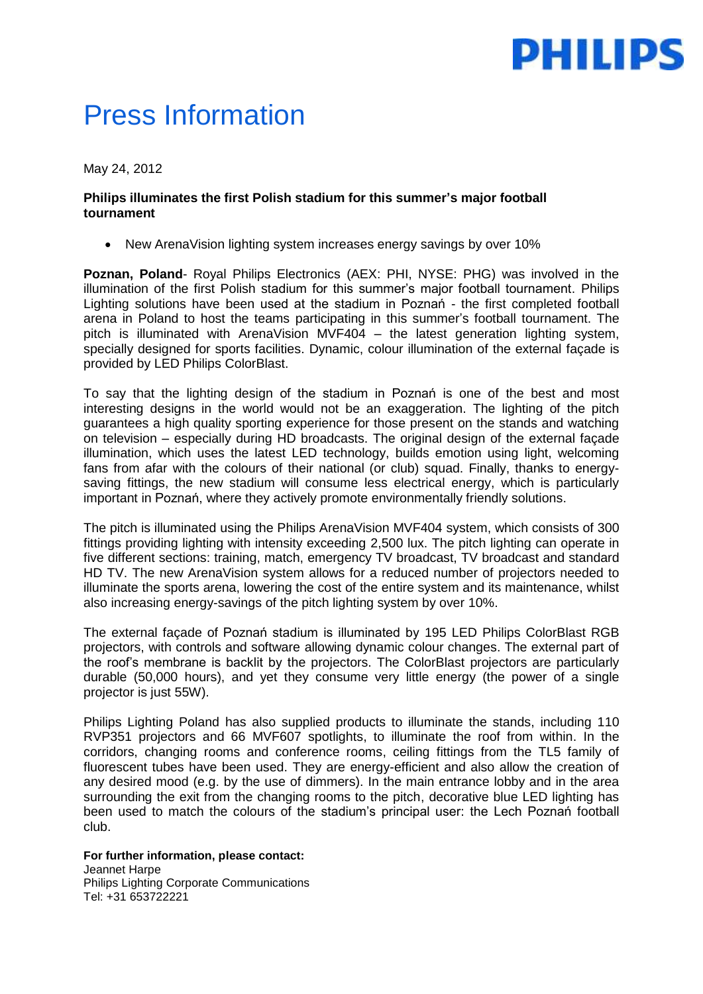

## Press Information

May 24, 2012

## **Philips illuminates the first Polish stadium for this summer's major football tournament**

New ArenaVision lighting system increases energy savings by over 10%

**Poznan, Poland**- Royal Philips Electronics (AEX: PHI, NYSE: PHG) was involved in the illumination of the first Polish stadium for this summer's major football tournament. Philips Lighting solutions have been used at the stadium in Poznań - the first completed football arena in Poland to host the teams participating in this summer's football tournament. The pitch is illuminated with ArenaVision MVF404 – the latest generation lighting system, specially designed for sports facilities. Dynamic, colour illumination of the external façade is provided by LED Philips ColorBlast.

To say that the lighting design of the stadium in Poznań is one of the best and most interesting designs in the world would not be an exaggeration. The lighting of the pitch guarantees a high quality sporting experience for those present on the stands and watching on television – especially during HD broadcasts. The original design of the external façade illumination, which uses the latest LED technology, builds emotion using light, welcoming fans from afar with the colours of their national (or club) squad. Finally, thanks to energysaving fittings, the new stadium will consume less electrical energy, which is particularly important in Poznań, where they actively promote environmentally friendly solutions.

The pitch is illuminated using the Philips ArenaVision MVF404 system, which consists of 300 fittings providing lighting with intensity exceeding 2,500 lux. The pitch lighting can operate in five different sections: training, match, emergency TV broadcast, TV broadcast and standard HD TV. The new ArenaVision system allows for a reduced number of projectors needed to illuminate the sports arena, lowering the cost of the entire system and its maintenance, whilst also increasing energy-savings of the pitch lighting system by over 10%.

The external façade of Poznań stadium is illuminated by 195 LED Philips ColorBlast RGB projectors, with controls and software allowing dynamic colour changes. The external part of the roof's membrane is backlit by the projectors. The ColorBlast projectors are particularly durable (50,000 hours), and yet they consume very little energy (the power of a single projector is just 55W).

Philips Lighting Poland has also supplied products to illuminate the stands, including 110 RVP351 projectors and 66 MVF607 spotlights, to illuminate the roof from within. In the corridors, changing rooms and conference rooms, ceiling fittings from the TL5 family of fluorescent tubes have been used. They are energy-efficient and also allow the creation of any desired mood (e.g. by the use of dimmers). In the main entrance lobby and in the area surrounding the exit from the changing rooms to the pitch, decorative blue LED lighting has been used to match the colours of the stadium's principal user: the Lech Poznań football club.

## **For further information, please contact:**

Jeannet Harpe Philips Lighting Corporate Communications Tel: +31 653722221